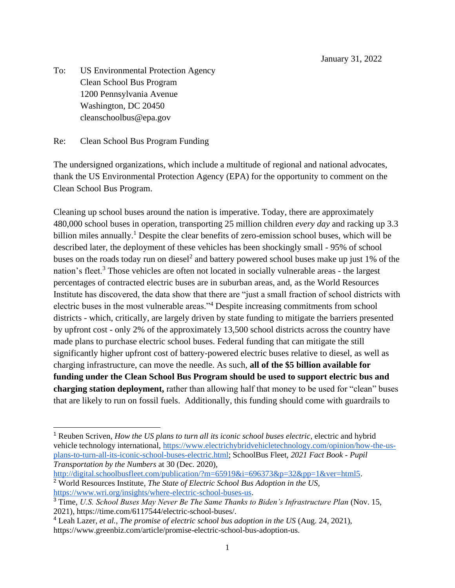January 31, 2022

To: US Environmental Protection Agency Clean School Bus Program 1200 Pennsylvania Avenue Washington, DC 20450 cleanschoolbus@epa.gov

Re: Clean School Bus Program Funding

The undersigned organizations, which include a multitude of regional and national advocates, thank the US Environmental Protection Agency (EPA) for the opportunity to comment on the Clean School Bus Program.

Cleaning up school buses around the nation is imperative. Today, there are approximately 480,000 school buses in operation, transporting 25 million children *every day* and racking up 3.3 billion miles annually.<sup>1</sup> Despite the clear benefits of zero-emission school buses, which will be described later, the deployment of these vehicles has been shockingly small - 95% of school buses on the roads today run on diesel<sup>2</sup> and battery powered school buses make up just 1% of the nation's fleet.<sup>3</sup> Those vehicles are often not located in socially vulnerable areas - the largest percentages of contracted electric buses are in suburban areas, and, as the World Resources Institute has discovered, the data show that there are "just a small fraction of school districts with electric buses in the most vulnerable areas."<sup>4</sup> Despite increasing commitments from school districts - which, critically, are largely driven by state funding to mitigate the barriers presented by upfront cost - only 2% of the approximately 13,500 school districts across the country have made plans to purchase electric school buses. Federal funding that can mitigate the still significantly higher upfront cost of battery-powered electric buses relative to diesel, as well as charging infrastructure, can move the needle. As such, **all of the \$5 billion available for funding under the Clean School Bus Program should be used to support electric bus and charging station deployment,** rather than allowing half that money to be used for "clean" buses that are likely to run on fossil fuels. Additionally, this funding should come with guardrails to

[http://digital.schoolbusfleet.com/publication/?m=65919&i=696373&p=32&pp=1&ver=html5.](http://digital.schoolbusfleet.com/publication/?m=65919&i=696373&p=32&pp=1&ver=html5)

<sup>1</sup> Reuben Scriven, *How the US plans to turn all its iconic school buses electric,* electric and hybrid vehicle technology international, [https://www.electrichybridvehicletechnology.com/opinion/how-the-us](https://www.electrichybridvehicletechnology.com/opinion/how-the-us-plans-to-turn-all-its-iconic-school-buses-electric.html)[plans-to-turn-all-its-iconic-school-buses-electric.html;](https://www.electrichybridvehicletechnology.com/opinion/how-the-us-plans-to-turn-all-its-iconic-school-buses-electric.html) SchoolBus Fleet, *2021 Fact Book - Pupil Transportation by the Numbers* at 30 (Dec. 2020)*,* 

<sup>2</sup> World Resources Institute, *The State of Electric School Bus Adoption in the US,*  [https://www.wri.org/insights/where-electric-school-buses-us.](https://www.wri.org/insights/where-electric-school-buses-us)

<sup>&</sup>lt;sup>3</sup> Time, *U.S. School Buses May Never Be The Same Thanks to Biden's Infrastructure Plan* (Nov. 15, 2021)*,* https://time.com/6117544/electric-school-buses/.

<sup>4</sup> Leah Lazer, *et al., The promise of electric school bus adoption in the US* (Aug. 24, 2021), https://www.greenbiz.com/article/promise-electric-school-bus-adoption-us.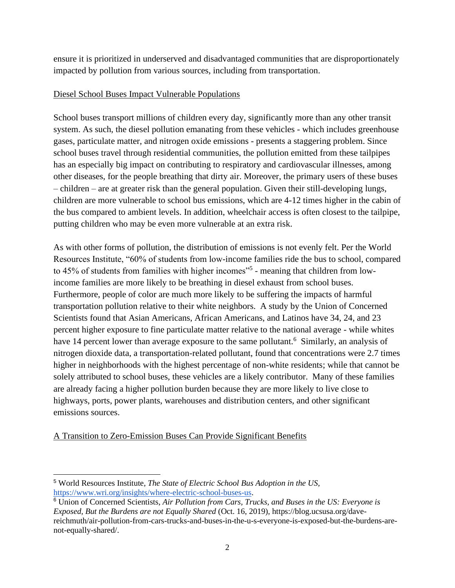ensure it is prioritized in underserved and disadvantaged communities that are disproportionately impacted by pollution from various sources, including from transportation.

## Diesel School Buses Impact Vulnerable Populations

School buses transport millions of children every day, significantly more than any other transit system. As such, the diesel pollution emanating from these vehicles - which includes greenhouse gases, particulate matter, and nitrogen oxide emissions - presents a staggering problem. Since school buses travel through residential communities, the pollution emitted from these tailpipes has an especially big impact on contributing to respiratory and cardiovascular illnesses, among other diseases, for the people breathing that dirty air. Moreover, the primary users of these buses – children – are at greater risk than the general population. Given their still-developing lungs, children are more vulnerable to school bus emissions, which are 4-12 times higher in the cabin of the bus compared to ambient levels. In addition, wheelchair access is often closest to the tailpipe, putting children who may be even more vulnerable at an extra risk.

As with other forms of pollution, the distribution of emissions is not evenly felt. Per the World Resources Institute, "60% of students from low-income families ride the bus to school, compared to 45% of students from families with higher incomes"<sup>5</sup> - meaning that children from lowincome families are more likely to be breathing in diesel exhaust from school buses. Furthermore, people of color are much more likely to be suffering the impacts of harmful transportation pollution relative to their white neighbors. A study by the Union of Concerned Scientists found that Asian Americans, African Americans, and Latinos have 34, 24, and 23 percent higher exposure to fine particulate matter relative to the national average - while whites have 14 percent lower than average exposure to the same pollutant.<sup>6</sup> Similarly, an analysis of nitrogen dioxide data, a transportation-related pollutant, found that concentrations were 2.7 times higher in neighborhoods with the highest percentage of non-white residents; while that cannot be solely attributed to school buses, these vehicles are a likely contributor. Many of these families are already facing a higher pollution burden because they are more likely to live close to highways, ports, power plants, warehouses and distribution centers, and other significant emissions sources.

## A Transition to Zero-Emission Buses Can Provide Significant Benefits

<sup>5</sup> World Resources Institute, *The State of Electric School Bus Adoption in the US,*  [https://www.wri.org/insights/where-electric-school-buses-us.](https://www.wri.org/insights/where-electric-school-buses-us)

<sup>6</sup> Union of Concerned Scientists, *Air Pollution from Cars, Trucks, and Buses in the US: Everyone is Exposed, But the Burdens are not Equally Shared* (Oct. 16, 2019), https://blog.ucsusa.org/davereichmuth/air-pollution-from-cars-trucks-and-buses-in-the-u-s-everyone-is-exposed-but-the-burdens-arenot-equally-shared/.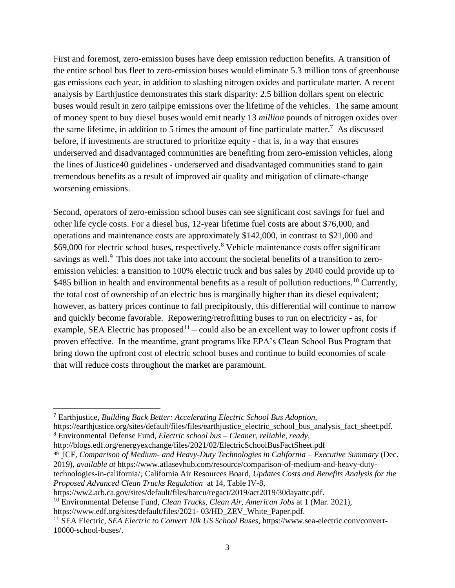First and foremost, zero-emission buses have deep emission reduction benefits. A transition of the entire school bus fleet to zero-emission buses would eliminate 5.3 million tons of greenhouse gas emissions each year, in addition to slashing nitrogen oxides and particulate matter. A recent analysis by Earthjustice demonstrates this stark disparity: 2.5 billion dollars spent on electric buses would result in zero tailpipe emissions over the lifetime of the vehicles. The same amount of money spent to buy diesel buses would emit nearly 13 *million* pounds of nitrogen oxides over the same lifetime, in addition to 5 times the amount of fine particulate matter.<sup>7</sup> As discussed before, if investments are structured to prioritize equity - that is, in a way that ensures underserved and disadvantaged communities are benefiting from zero-emission vehicles, along the lines of Justice40 guidelines - underserved and disadvantaged communities stand to gain tremendous benefits as a result of improved air quality and mitigation of climate-change worsening emissions.

Second, operators of zero-emission school buses can see significant cost savings for fuel and other life cycle costs. For a diesel bus, 12-year lifetime fuel costs are about \$76,000, and operations and maintenance costs are approximately \$142,000, in contrast to \$21,000 and \$69,000 for electric school buses, respectively.<sup>8</sup> Vehicle maintenance costs offer significant savings as well.<sup>9</sup> This does not take into account the societal benefits of a transition to zeroemission vehicles: a transition to 100% electric truck and bus sales by 2040 could provide up to \$485 billion in health and environmental benefits as a result of pollution reductions.<sup>10</sup> Currently, the total cost of ownership of an electric bus is marginally higher than its diesel equivalent; however, as battery prices continue to fall precipitously, this differential will continue to narrow and quickly become favorable. Repowering/retrofitting buses to run on electricity - as, for example, SEA Electric has proposed<sup>11</sup> – could also be an excellent way to lower upfront costs if proven effective. In the meantime, grant programs like EPA's Clean School Bus Program that bring down the upfront cost of electric school buses and continue to build economies of scale that will reduce costs throughout the market are paramount.

99 ICF, *Comparison of Medium- and Heavy-Duty Technologies in California – Executive Summary* (Dec. 2019), *available at* [https://www.atlasevhub.com/resource/comparison-of-medium-and-heavy-duty](https://www.atlasevhub.com/resource/comparison-of-medium-and-heavy-duty-technologies-in-california/)[technologies-in-california/](https://www.atlasevhub.com/resource/comparison-of-medium-and-heavy-duty-technologies-in-california/)*;* California Air Resources Board, *Updates Costs and Benefits Analysis for the Proposed Advanced Clean Trucks Regulation* at 14, Table IV-8,

https://ww2.arb.ca.gov/sites/default/files/barcu/regact/2019/act2019/30dayattc.pdf.

<sup>7</sup> Earthjustice, *Building Back Better: Accelerating Electric School Bus Adoption,* 

https://earthjustice.org/sites/default/files/files/earthjustice\_electric\_school\_bus\_analysis\_fact\_sheet.pdf. <sup>8</sup> Environmental Defense Fund, *Electric school bus – Cleaner, reliable, ready,* 

http://blogs.edf.org/energyexchange/files/2021/02/ElectricSchoolBusFactSheet.pdf

<sup>10</sup> Environmental Defense Fund, *Clean Trucks, Clean Air, American Jobs* at 1 (Mar. 2021),

https://www.edf.org/sites/default/files/2021-03/HD\_ZEV\_White\_Paper.pdf.

<sup>11</sup> SEA Electric, *SEA Electric to Convert 10k US School Buses,* https://www.sea-electric.com/convert-10000-school-buses/.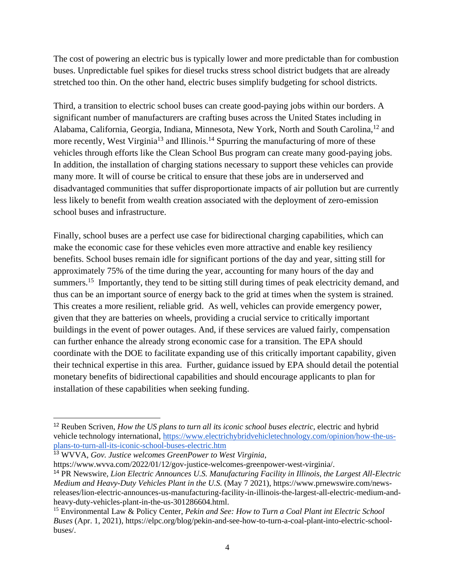The cost of powering an electric bus is typically lower and more predictable than for combustion buses. Unpredictable fuel spikes for diesel trucks stress school district budgets that are already stretched too thin. On the other hand, electric buses simplify budgeting for school districts.

Third, a transition to electric school buses can create good-paying jobs within our borders. A significant number of manufacturers are crafting buses across the United States including in Alabama, California, Georgia, Indiana, Minnesota, New York, North and South Carolina,<sup>12</sup> and more recently, West Virginia<sup>13</sup> and Illinois.<sup>14</sup> Spurring the manufacturing of more of these vehicles through efforts like the Clean School Bus program can create many good-paying jobs. In addition, the installation of charging stations necessary to support these vehicles can provide many more. It will of course be critical to ensure that these jobs are in underserved and disadvantaged communities that suffer disproportionate impacts of air pollution but are currently less likely to benefit from wealth creation associated with the deployment of zero-emission school buses and infrastructure.

Finally, school buses are a perfect use case for bidirectional charging capabilities, which can make the economic case for these vehicles even more attractive and enable key resiliency benefits. School buses remain idle for significant portions of the day and year, sitting still for approximately 75% of the time during the year, accounting for many hours of the day and summers.<sup>15</sup> Importantly, they tend to be sitting still during times of peak electricity demand, and thus can be an important source of energy back to the grid at times when the system is strained. This creates a more resilient, reliable grid. As well, vehicles can provide emergency power, given that they are batteries on wheels, providing a crucial service to critically important buildings in the event of power outages. And, if these services are valued fairly, compensation can further enhance the already strong economic case for a transition. The EPA should coordinate with the DOE to facilitate expanding use of this critically important capability, given their technical expertise in this area. Further, guidance issued by EPA should detail the potential monetary benefits of bidirectional capabilities and should encourage applicants to plan for installation of these capabilities when seeking funding.

https://www.wvva.com/2022/01/12/gov-justice-welcomes-greenpower-west-virginia/.

<sup>&</sup>lt;sup>12</sup> Reuben Scriven, *How the US plans to turn all its iconic school buses electric*, electric and hybrid vehicle technology international, [https://www.electrichybridvehicletechnology.com/opinion/how-the-us](https://www.electrichybridvehicletechnology.com/opinion/how-the-us-plans-to-turn-all-its-iconic-school-buses-electric.html)[plans-to-turn-all-its-iconic-school-buses-electric.htm](https://www.electrichybridvehicletechnology.com/opinion/how-the-us-plans-to-turn-all-its-iconic-school-buses-electric.html)

<sup>13</sup> WVVA, *Gov. Justice welcomes GreenPower to West Virginia*,

<sup>14</sup> PR Newswire, *Lion Electric Announces U.S. Manufacturing Facility in Illinois, the Largest All-Electric Medium and Heavy-Duty Vehicles Plant in the U.S.* (May 7 2021), https://www.prnewswire.com/newsreleases/lion-electric-announces-us-manufacturing-facility-in-illinois-the-largest-all-electric-medium-andheavy-duty-vehicles-plant-in-the-us-301286604.html.

<sup>15</sup> Environmental Law & Policy Center, *Pekin and See: How to Turn a Coal Plant int Electric School Buses* (Apr. 1, 2021), https://elpc.org/blog/pekin-and-see-how-to-turn-a-coal-plant-into-electric-schoolbuses/.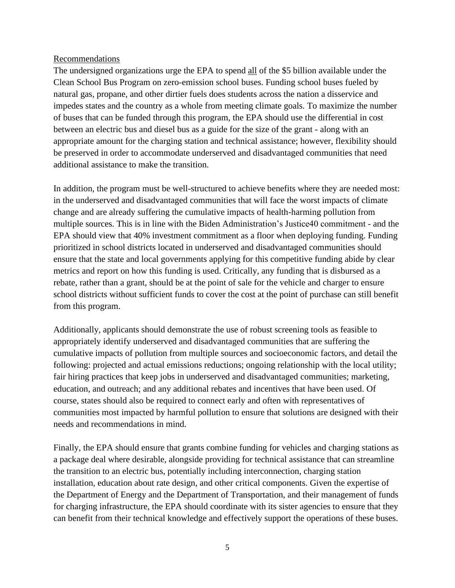## Recommendations

The undersigned organizations urge the EPA to spend all of the \$5 billion available under the Clean School Bus Program on zero-emission school buses. Funding school buses fueled by natural gas, propane, and other dirtier fuels does students across the nation a disservice and impedes states and the country as a whole from meeting climate goals. To maximize the number of buses that can be funded through this program, the EPA should use the differential in cost between an electric bus and diesel bus as a guide for the size of the grant - along with an appropriate amount for the charging station and technical assistance; however, flexibility should be preserved in order to accommodate underserved and disadvantaged communities that need additional assistance to make the transition.

In addition, the program must be well-structured to achieve benefits where they are needed most: in the underserved and disadvantaged communities that will face the worst impacts of climate change and are already suffering the cumulative impacts of health-harming pollution from multiple sources. This is in line with the Biden Administration's Justice40 commitment - and the EPA should view that 40% investment commitment as a floor when deploying funding. Funding prioritized in school districts located in underserved and disadvantaged communities should ensure that the state and local governments applying for this competitive funding abide by clear metrics and report on how this funding is used. Critically, any funding that is disbursed as a rebate, rather than a grant, should be at the point of sale for the vehicle and charger to ensure school districts without sufficient funds to cover the cost at the point of purchase can still benefit from this program.

Additionally, applicants should demonstrate the use of robust screening tools as feasible to appropriately identify underserved and disadvantaged communities that are suffering the cumulative impacts of pollution from multiple sources and socioeconomic factors, and detail the following: projected and actual emissions reductions; ongoing relationship with the local utility; fair hiring practices that keep jobs in underserved and disadvantaged communities; marketing, education, and outreach; and any additional rebates and incentives that have been used. Of course, states should also be required to connect early and often with representatives of communities most impacted by harmful pollution to ensure that solutions are designed with their needs and recommendations in mind.

Finally, the EPA should ensure that grants combine funding for vehicles and charging stations as a package deal where desirable, alongside providing for technical assistance that can streamline the transition to an electric bus, potentially including interconnection, charging station installation, education about rate design, and other critical components. Given the expertise of the Department of Energy and the Department of Transportation, and their management of funds for charging infrastructure, the EPA should coordinate with its sister agencies to ensure that they can benefit from their technical knowledge and effectively support the operations of these buses.